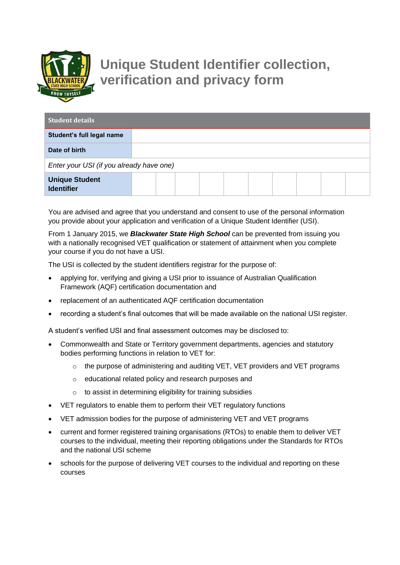

## **Unique Student Identifier collection, verification and privacy form**

| <b>Student details</b>                     |  |  |  |  |  |  |  |  |  |
|--------------------------------------------|--|--|--|--|--|--|--|--|--|
| Student's full legal name                  |  |  |  |  |  |  |  |  |  |
| Date of birth                              |  |  |  |  |  |  |  |  |  |
| Enter your USI (if you already have one)   |  |  |  |  |  |  |  |  |  |
| <b>Unique Student</b><br><b>Identifier</b> |  |  |  |  |  |  |  |  |  |

You are advised and agree that you understand and consent to use of the personal information you provide about your application and verification of a Unique Student Identifier (USI).

From 1 January 2015, we *Blackwater State High School* can be prevented from issuing you with a nationally recognised VET qualification or statement of attainment when you complete your course if you do not have a USI.

The USI is collected by the student identifiers registrar for the purpose of:

- applying for, verifying and giving a USI prior to issuance of Australian Qualification Framework (AQF) certification documentation and
- replacement of an authenticated AQF certification documentation
- recording a student's final outcomes that will be made available on the national USI register.

A student's verified USI and final assessment outcomes may be disclosed to:

- Commonwealth and State or Territory government departments, agencies and statutory bodies performing functions in relation to VET for:
	- o the purpose of administering and auditing VET, VET providers and VET programs
	- o educational related policy and research purposes and
	- o to assist in determining eligibility for training subsidies
- VET regulators to enable them to perform their VET regulatory functions
- VET admission bodies for the purpose of administering VET and VET programs
- current and former registered training organisations (RTOs) to enable them to deliver VET courses to the individual, meeting their reporting obligations under the Standards for RTOs and the national USI scheme
- schools for the purpose of delivering VET courses to the individual and reporting on these courses